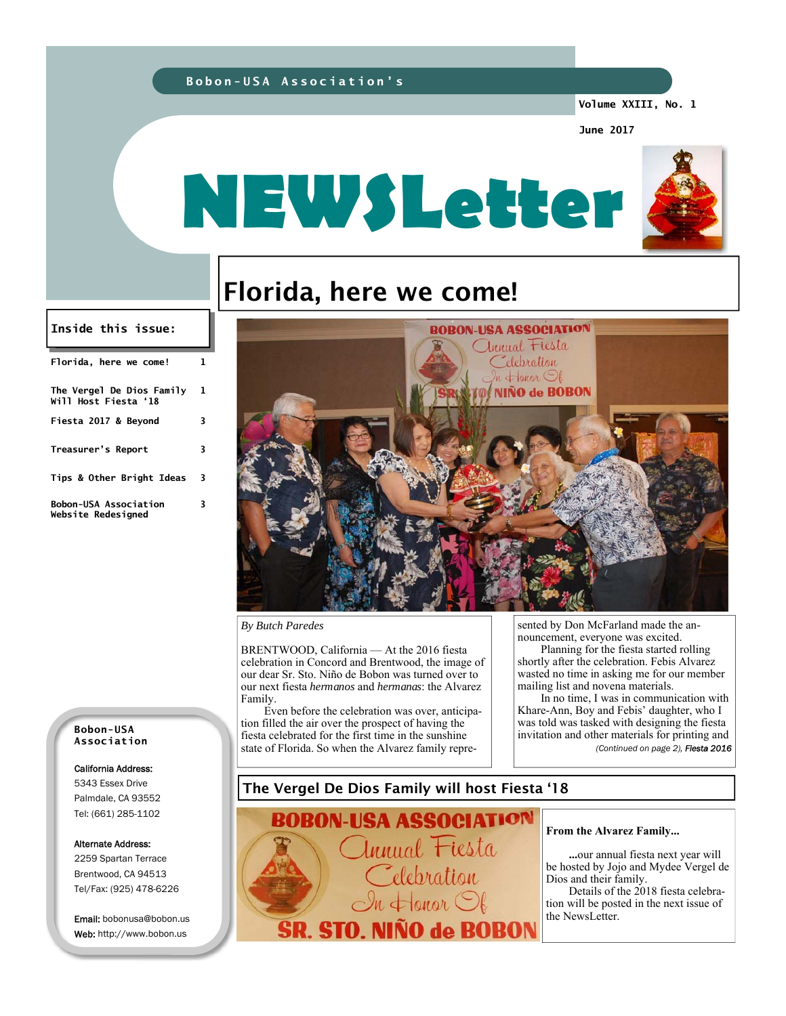### **Bobon-USA Association's**

**Volume XXIII, No. 1** 

**June 2017** 



# Florida, here we come!

#### **Inside this issue:**

| Florida, here we come!                                    | 1 |
|-----------------------------------------------------------|---|
| The Vergel De Dios Family<br>Will Host Fiesta '18         | 1 |
| Fiesta 2017 & Beyond                                      | 3 |
| Treasurer's Report                                        | 3 |
| Tips & Other Bright Ideas                                 | 3 |
| <b>Bobon-USA Association</b><br><b>Website Redesianed</b> | 3 |



**BOBON-USA ASSOCIATION** annual Fiesta Celebration

#### *By Butch Paredes*

BRENTWOOD, California — At the 2016 fiesta celebration in Concord and Brentwood, the image of our dear Sr. Sto. Niño de Bobon was turned over to our next fiesta *hermanos* and *hermanas*: the Alvarez Family.

Even before the celebration was over, anticipation filled the air over the prospect of having the fiesta celebrated for the first time in the sunshine state of Florida. So when the Alvarez family represented by Don McFarland made the announcement, everyone was excited.

Planning for the fiesta started rolling shortly after the celebration. Febis Alvarez wasted no time in asking me for our member mailing list and novena materials.

In no time, I was in communication with Khare-Ann, Boy and Febis' daughter, who I was told was tasked with designing the fiesta invitation and other materials for printing and *(Continued on page 2), Fiesta 2016* 

### The Vergel De Dios Family will host Fiesta '18

5343 Essex Drive Palmdale, CA 93552 Tel: (661) 285-1102

California Address:

**Bobon-USA Association** 

Alternate Address:

2259 Spartan Terrace Brentwood, CA 94513 Tel/Fax: (925) 478-6226

Email: bobonusa@bobon.us Web: http://www.bobon.us

BOBON-USA ASSOCIATION Innual Fiesta elebration  $\leftarrow$  onor  $\bigcirc$ **SR. STO. NIÑO de BOBON** 

#### **From the Alvarez Family...**

 **...**our annual fiesta next year will be hosted by Jojo and Mydee Vergel de Dios and their family.

 Details of the 2018 fiesta celebration will be posted in the next issue of the NewsLetter.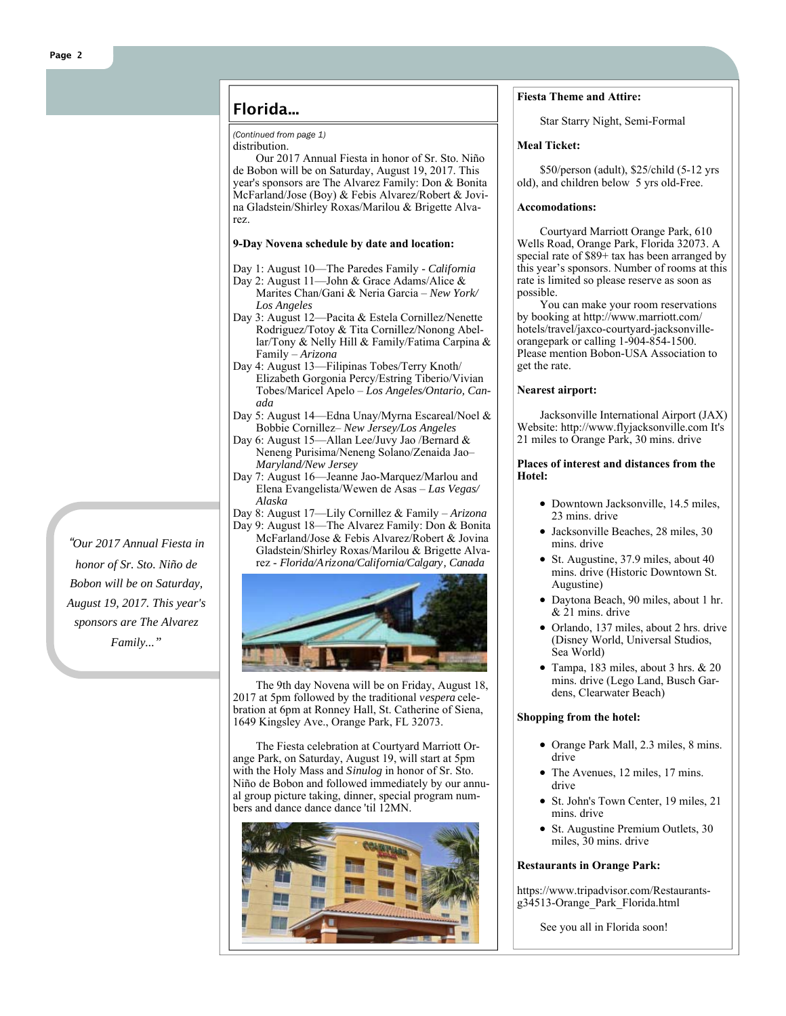### Florida...

#### *(Continued from page 1)*

distribution.

Our 2017 Annual Fiesta in honor of Sr. Sto. Niño de Bobon will be on Saturday, August 19, 2017. This year's sponsors are The Alvarez Family: Don & Bonita McFarland/Jose (Boy) & Febis Alvarez/Robert & Jovina Gladstein/Shirley Roxas/Marilou & Brigette Alvarez.

#### **9-Day Novena schedule by date and location:**

- Day 1: August 10—The Paredes Family *California*
- Day 2: August 11—John & Grace Adams/Alice & Marites Chan/Gani & Neria Garcia – *New York/ Los Angeles*
- Day 3: August 12—Pacita & Estela Cornillez/Nenette Rodriguez/Totoy & Tita Cornillez/Nonong Abellar/Tony & Nelly Hill & Family/Fatima Carpina & Family – *Arizona*
- Day 4: August 13—Filipinas Tobes/Terry Knoth/ Elizabeth Gorgonia Percy/Estring Tiberio/Vivian Tobes/Maricel Apelo – *Los Angeles/Ontario, Canada*
- Day 5: August 14—Edna Unay/Myrna Escareal/Noel & Bobbie Cornillez– *New Jersey/Los Angeles*
- Day 6: August 15—Allan Lee/Juvy Jao /Bernard & Neneng Purisima/Neneng Solano/Zenaida Jao– *Maryland/New Jersey*
- Day 7: August 16—Jeanne Jao-Marquez/Marlou and Elena Evangelista/Wewen de Asas – *Las Vegas/ Alaska*

Day 8: August 17—Lily Cornillez & Family – *Arizona*

Day 9: August 18—The Alvarez Family: Don & Bonita McFarland/Jose & Febis Alvarez/Robert & Jovina Gladstein/Shirley Roxas/Marilou & Brigette Alvarez - *Florida/Arizona/California/Calgary, Canada*



The 9th day Novena will be on Friday, August 18, 2017 at 5pm followed by the traditional *vespera* celebration at 6pm at Ronney Hall, St. Catherine of Siena, 1649 Kingsley Ave., Orange Park, FL 32073.

The Fiesta celebration at Courtyard Marriott Orange Park, on Saturday, August 19, will start at 5pm with the Holy Mass and *Sinulog* in honor of Sr. Sto. Niño de Bobon and followed immediately by our annual group picture taking, dinner, special program numbers and dance dance dance 'til 12MN.



#### **Fiesta Theme and Attire:**

Star Starry Night, Semi-Formal

#### **Meal Ticket:**

\$50/person (adult), \$25/child (5-12 yrs old), and children below 5 yrs old-Free.

#### **Accomodations:**

Courtyard Marriott Orange Park, 610 Wells Road, Orange Park, Florida 32073. A special rate of \$89+ tax has been arranged by this year's sponsors. Number of rooms at this rate is limited so please reserve as soon as possible.

You can make your room reservations by booking at http://www.marriott.com/ hotels/travel/jaxco-courtyard-jacksonvilleorangepark or calling 1-904-854-1500. Please mention Bobon-USA Association to get the rate.

#### **Nearest airport:**

Jacksonville International Airport (JAX) Website: http://www.flyjacksonville.com It's 21 miles to Orange Park, 30 mins. drive

#### **Places of interest and distances from the Hotel:**

- Downtown Jacksonville, 14.5 miles, 23 mins. drive
- Jacksonville Beaches, 28 miles, 30 mins. drive
- St. Augustine, 37.9 miles, about 40 mins. drive (Historic Downtown St. Augustine)
- Daytona Beach, 90 miles, about 1 hr. & 21 mins. drive
- Orlando, 137 miles, about 2 hrs. drive (Disney World, Universal Studios, Sea World)
- Tampa, 183 miles, about 3 hrs. & 20 mins. drive (Lego Land, Busch Gardens, Clearwater Beach)

#### **Shopping from the hotel:**

- Orange Park Mall, 2.3 miles, 8 mins. drive
- The Avenues, 12 miles, 17 mins. drive
- St. John's Town Center, 19 miles, 21 mins. drive
- St. Augustine Premium Outlets, 30 miles, 30 mins. drive

#### **Restaurants in Orange Park:**

https://www.tripadvisor.com/Restaurantsg34513-Orange Park Florida.html

See you all in Florida soon!

*"Our 2017 Annual Fiesta in honor of Sr. Sto. Niño de Bobon will be on Saturday, August 19, 2017. This year's sponsors are The Alvarez Family..."*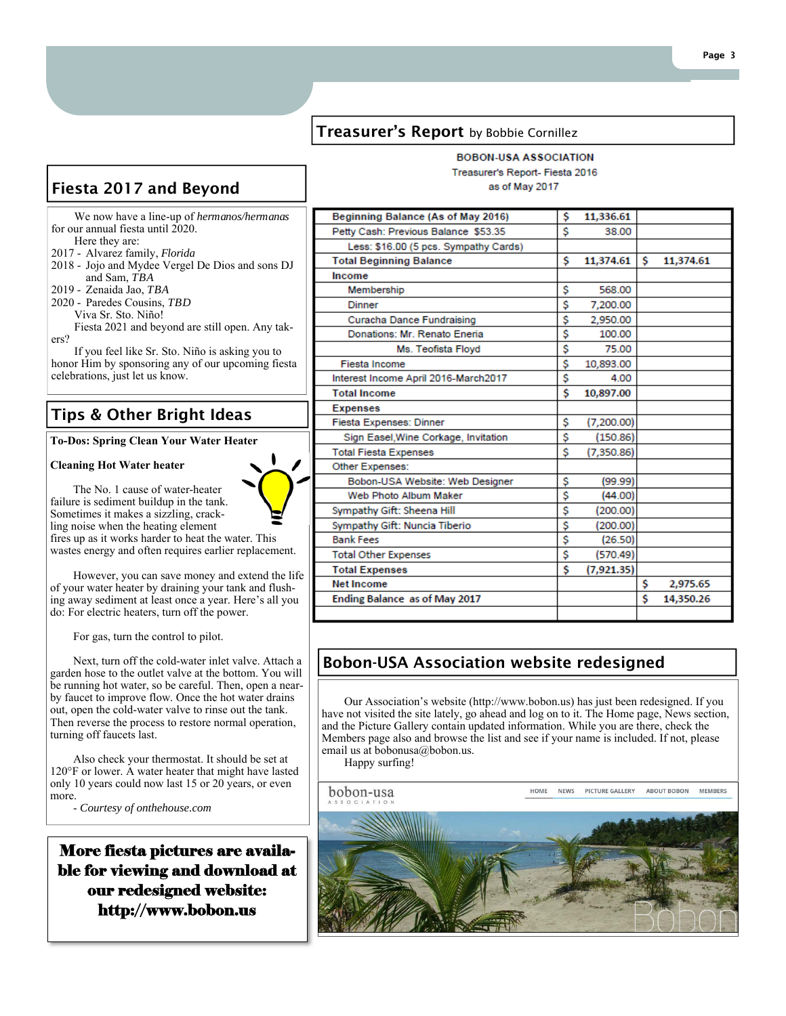### **Treasurer's Report** by Bobbie Cornillez

# Fiesta 2017 and Beyond

 We now have a line-up of *hermanos/hermanas*  for our annual fiesta until 2020. Here they are:

- 2017 Alvarez family, *Florida*
- 2018 Jojo and Mydee Vergel De Dios and sons DJ and Sam, *TBA*
- 2019 Zenaida Jao, *TBA*
- 2020 Paredes Cousins, *TBD*

Viva Sr. Sto. Niño!

 Fiesta 2021 and beyond are still open. Any takers?

 If you feel like Sr. Sto. Niño is asking you to honor Him by sponsoring any of our upcoming fiesta celebrations, just let us know.

# Tips & Other Bright Ideas

**To-Dos: Spring Clean Your Water Heater** 

The No. 1 cause of water-heater

#### **Cleaning Hot Water heater**



failure is sediment buildup in the tank. Sometimes it makes a sizzling, crackling noise when the heating element fires up as it works harder to heat the water. This wastes energy and often requires earlier replacement.

However, you can save money and extend the life of your water heater by draining your tank and flushing away sediment at least once a year. Here's all you do: For electric heaters, turn off the power.

For gas, turn the control to pilot.

Next, turn off the cold-water inlet valve. Attach a garden hose to the outlet valve at the bottom. You will be running hot water, so be careful. Then, open a nearby faucet to improve flow. Once the hot water drains out, open the cold-water valve to rinse out the tank. Then reverse the process to restore normal operation, turning off faucets last.

Also check your thermostat. It should be set at 120°F or lower. A water heater that might have lasted only 10 years could now last 15 or 20 years, or even more.

- *Courtesy of onthehouse.com*

More fiesta pictures are available for viewing and download at our redesigned website: http://www.bobon.us

| Beginning Balance (As of May 2016)    | \$<br>11,336.61  |    |           |
|---------------------------------------|------------------|----|-----------|
| Petty Cash: Previous Balance \$53.35  | \$<br>38.00      |    |           |
| Less: \$16.00 (5 pcs. Sympathy Cards) |                  |    |           |
| <b>Total Beginning Balance</b>        | \$<br>11,374.61  | Ŝ. | 11,374.61 |
| Income                                |                  |    |           |
| Membership                            | \$<br>568.00     |    |           |
| <b>Dinner</b>                         | \$<br>7,200.00   |    |           |
| Curacha Dance Fundraising             | \$<br>2,950.00   |    |           |
| Donations: Mr. Renato Eneria          | \$<br>100.00     |    |           |
| Ms. Teofista Floyd                    | \$<br>75.00      |    |           |
| <b>Fiesta Income</b>                  | \$<br>10,893.00  |    |           |
| Interest Income April 2016-March2017  | \$<br>4.00       |    |           |
| <b>Total Income</b>                   | \$<br>10.897.00  |    |           |
| <b>Expenses</b>                       |                  |    |           |
| Fiesta Expenses: Dinner               | \$<br>(7,200.00) |    |           |
| Sign Easel, Wine Corkage, Invitation  | \$<br>(150.86)   |    |           |
| <b>Total Fiesta Expenses</b>          | \$<br>(7,350.86) |    |           |
| Other Expenses:                       |                  |    |           |
| Bobon-USA Website: Web Designer       | \$<br>(99.99)    |    |           |
| Web Photo Album Maker                 | \$<br>(44.00)    |    |           |
| Sympathy Gift: Sheena Hill            | \$<br>(200.00)   |    |           |
| Sympathy Gift: Nuncia Tiberio         | \$<br>(200.00)   |    |           |
| <b>Bank Fees</b>                      | \$<br>(26.50)    |    |           |
| <b>Total Other Expenses</b>           | \$<br>(570.49)   |    |           |
| <b>Total Expenses</b>                 | \$<br>(7,921.35) |    |           |
| <b>Net Income</b>                     |                  | \$ | 2,975.65  |
| Ending Balance as of May 2017         |                  | \$ | 14,350.26 |
|                                       |                  |    |           |

# Bobon-USA Association website redesigned

Our Association's website (http://www.bobon.us) has just been redesigned. If you have not visited the site lately, go ahead and log on to it. The Home page, News section, and the Picture Gallery contain updated information. While you are there, check the Members page also and browse the list and see if your name is included. If not, please email us at bobonusa@bobon.us.

Happy surfing!

bobon-usa

PICTURE GALLERY MEMBERS HOME **NEWS** ABOUT BOBON



**BOBON-USA ASSOCIATION** Treasurer's Report- Fiesta 2016

as of May 2017